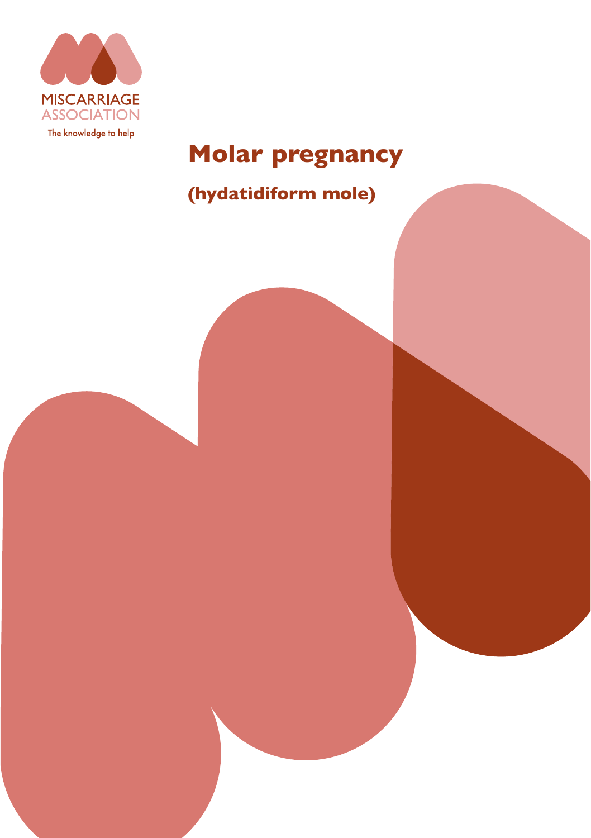

# **Molar pregnancy**

## **(hydatidiform mole)**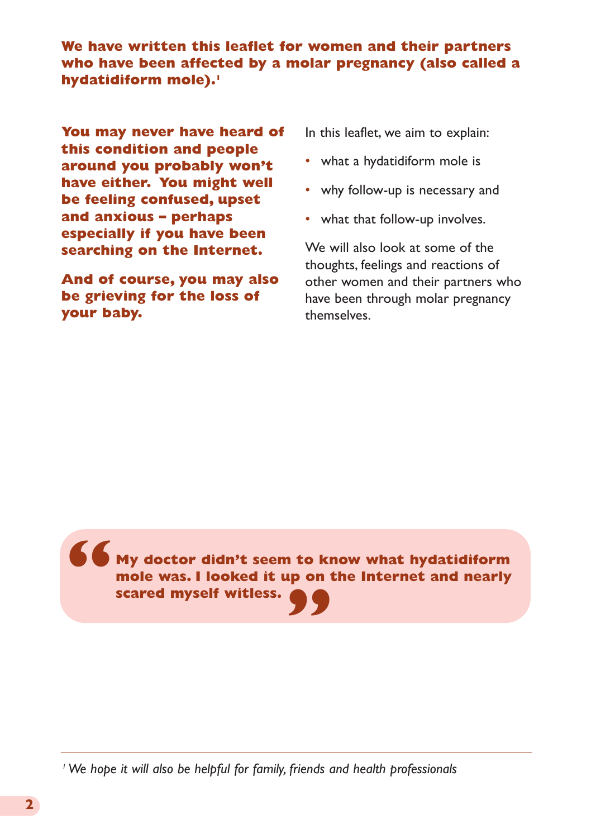**We have written this leaflet for women and their partners who have been affected by a molar pregnancy (also called a hydatidiform mole).1**

**You may never have heard of this condition and people around you probably won't have either. You might well be feeling confused, upset and anxious – perhaps especially if you have been searching on the Internet.**

**And of course, you may also be grieving for the loss of your baby.**

In this leaflet, we aim to explain:

- what a hydatidiform mole is
- why follow-up is necessary and
- what that follow-up involves.

We will also look at some of the thoughts, feelings and reactions of other women and their partners who have been through molar pregnancy themselves.

**My doctor didn't seem to know what hydatidiform mole was. I looked it up on the Internet and nearly scared myself witless. " "**

*1 We hope it will also be helpful for family, friends and health professionals*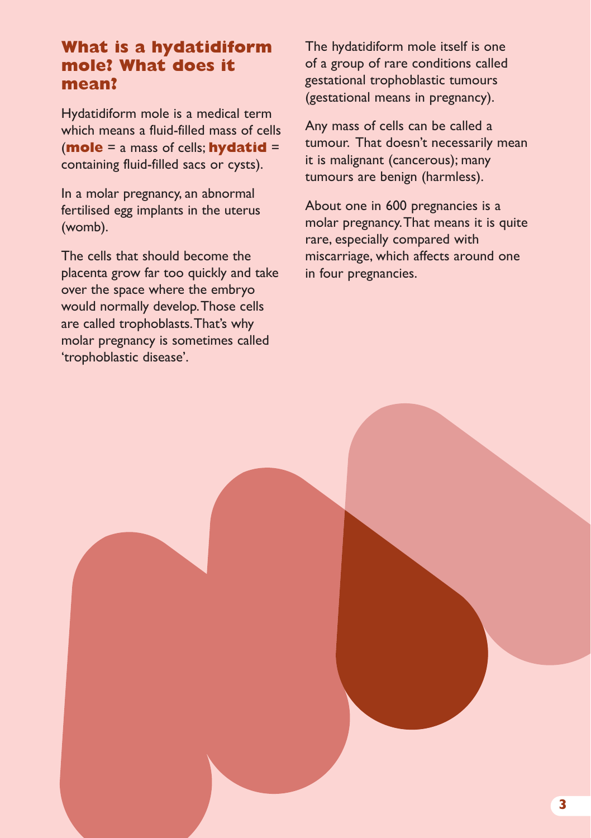## **What is a hydatidiform mole? What does it mean?**

Hydatidiform mole is a medical term which means a fluid-filled mass of cells (**mole** = a mass of cells; **hydatid** = containing fluid-filled sacs or cysts).

In a molar pregnancy, an abnormal fertilised egg implants in the uterus (womb).

The cells that should become the placenta grow far too quickly and take over the space where the embryo would normally develop. Those cells are called trophoblasts. That's why molar pregnancy is sometimes called 'trophoblastic disease'.

The hydatidiform mole itself is one of a group of rare conditions called gestational trophoblastic tumours (gestational means in pregnancy).

Any mass of cells can be called a tumour. That doesn't necessarily mean it is malignant (cancerous); many tumours are benign (harmless).

About one in 600 pregnancies is a molar pregnancy. That means it is quite rare, especially compared with miscarriage, which affects around one in four pregnancies.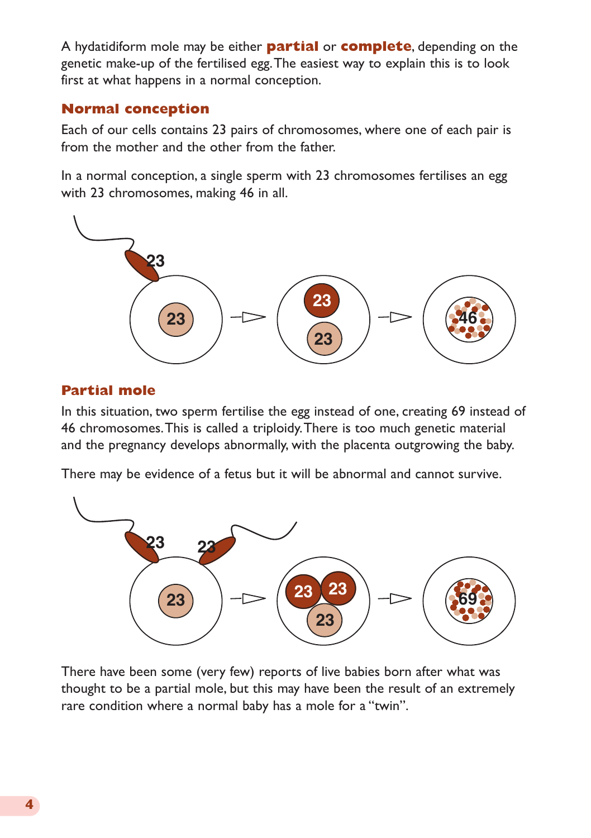A hydatidiform mole may be either **partial** or **complete**, depending on the genetic make-up of the fertilised egg. The easiest way to explain this is to look first at what happens in a normal conception.

#### **Normal conception**

Each of our cells contains 23 pairs of chromosomes, where one of each pair is from the mother and the other from the father.

In a normal conception, a single sperm with 23 chromosomes fertilises an egg with 23 chromosomes, making 46 in all.



#### **Partial mole**

In this situation, two sperm fertilise the egg instead of one, creating 69 instead of 46 chromosomes. This is called a triploidy. There is too much genetic material and the pregnancy develops abnormally, with the placenta outgrowing the baby.

There may be evidence of a fetus but it will be abnormal and cannot survive.



There have been some (very few) reports of live babies born after what was thought to be a partial mole, but this may have been the result of an extremely rare condition where a normal baby has a mole for a "twin".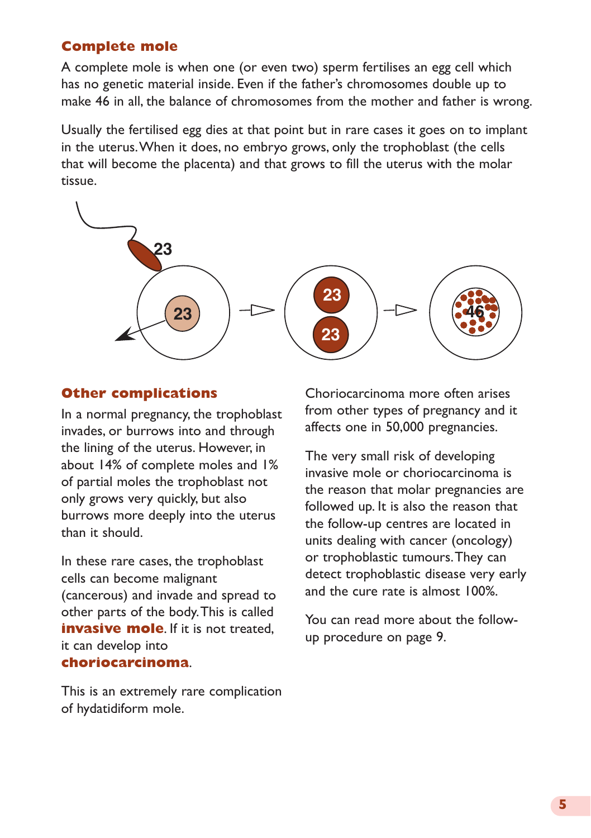#### **Complete mole**

A complete mole is when one (or even two) sperm fertilises an egg cell which has no genetic material inside. Even if the father's chromosomes double up to make 46 in all, the balance of chromosomes from the mother and father is wrong.

Usually the fertilised egg dies at that point but in rare cases it goes on to implant in the uterus. When it does, no embryo grows, only the trophoblast (the cells that will become the placenta) and that grows to fill the uterus with the molar tissue.



#### **Other complications**

In a normal pregnancy, the trophoblast invades, or burrows into and through the lining of the uterus. However, in about 14% of complete moles and 1% of partial moles the trophoblast not only grows very quickly, but also burrows more deeply into the uterus than it should.

In these rare cases, the trophoblast cells can become malignant (cancerous) and invade and spread to other parts of the body. This is called **invasive mole**. If it is not treated. it can develop into **choriocarcinoma**.

This is an extremely rare complication of hydatidiform mole.

Choriocarcinoma more often arises from other types of pregnancy and it affects one in 50,000 pregnancies.

The very small risk of developing invasive mole or choriocarcinoma is the reason that molar pregnancies are followed up. It is also the reason that the follow-up centres are located in units dealing with cancer (oncology) or trophoblastic tumours. They can detect trophoblastic disease very early and the cure rate is almost 100%.

You can read more about the followup procedure on page 9.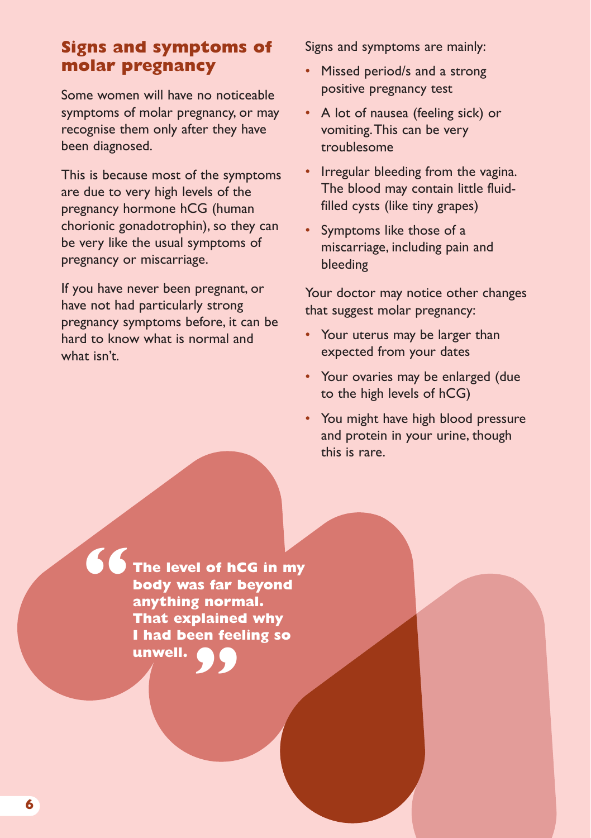## **Signs and symptoms of molar pregnancy**

Some women will have no noticeable symptoms of molar pregnancy, or may recognise them only after they have been diagnosed.

This is because most of the symptoms are due to very high levels of the pregnancy hormone hCG (human chorionic gonadotrophin), so they can be very like the usual symptoms of pregnancy or miscarriage.

If you have never been pregnant, or have not had particularly strong pregnancy symptoms before, it can be hard to know what is normal and what isn't.

Signs and symptoms are mainly:

- Missed period/s and a strong positive pregnancy test
- A lot of nausea (feeling sick) or vomiting. This can be very troublesome
- Irregular bleeding from the vagina. The blood may contain little fluidfilled cysts (like tiny grapes)
- Symptoms like those of a miscarriage, including pain and bleeding

Your doctor may notice other changes that suggest molar pregnancy:

- Your uterus may be larger than expected from your dates
- Your ovaries may be enlarged (due to the high levels of hCG)
- You might have high blood pressure and protein in your urine, though this is rare.

**The level of hCG in my body was far beyond anything normal. That explained why I had been feeling so " unwell. "**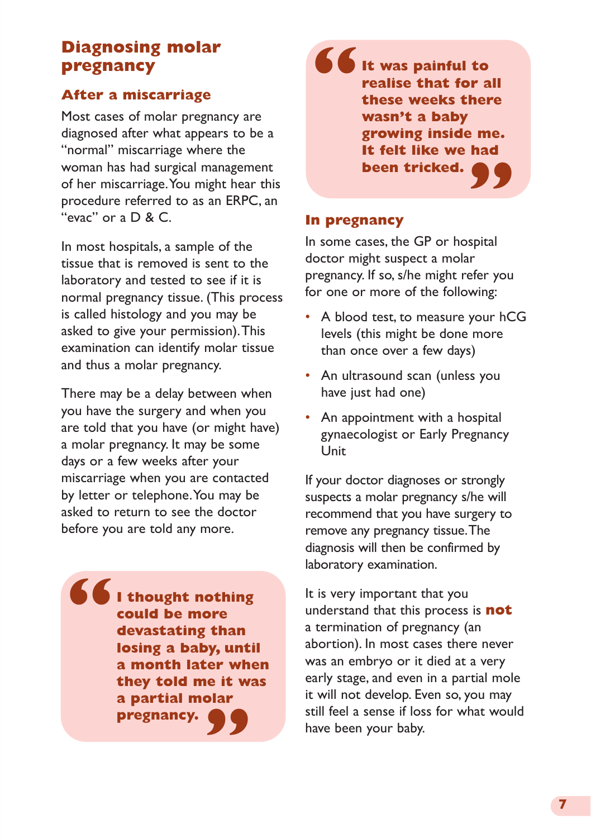## **Diagnosing molar pregnancy**

#### **After a miscarriage**

Most cases of molar pregnancy are diagnosed after what appears to be a "normal" miscarriage where the woman has had surgical management of her miscarriage. You might hear this procedure referred to as an ERPC, an "evac" or a D & C.

In most hospitals, a sample of the tissue that is removed is sent to the laboratory and tested to see if it is normal pregnancy tissue. (This process is called histology and you may be asked to give your permission). This examination can identify molar tissue and thus a molar pregnancy.

There may be a delay between when you have the surgery and when you are told that you have (or might have) a molar pregnancy. It may be some days or a few weeks after your miscarriage when you are contacted by letter or telephone. You may be asked to return to see the doctor before you are told any more.

**I thought nothing could be more devastating than losing a baby, until a month later when they told me it was** a partial molar<br>pregnancy. **pregnancy. "**

**It was painful to realise that for all these weeks there wasn't a baby growing inside me. It felt like we had been tricked. " "**

#### **In pregnancy**

In some cases, the GP or hospital doctor might suspect a molar pregnancy. If so, s/he might refer you for one or more of the following:

- A blood test, to measure your hCG levels (this might be done more than once over a few days)
- An ultrasound scan (unless you have just had one)
- An appointment with a hospital gynaecologist or Early Pregnancy Unit

If your doctor diagnoses or strongly suspects a molar pregnancy s/he will recommend that you have surgery to remove any pregnancy tissue. The diagnosis will then be confirmed by laboratory examination.

It is very important that you understand that this process is **not** a termination of pregnancy (an abortion). In most cases there never was an embryo or it died at a very early stage, and even in a partial mole it will not develop. Even so, you may still feel a sense if loss for what would have been your baby.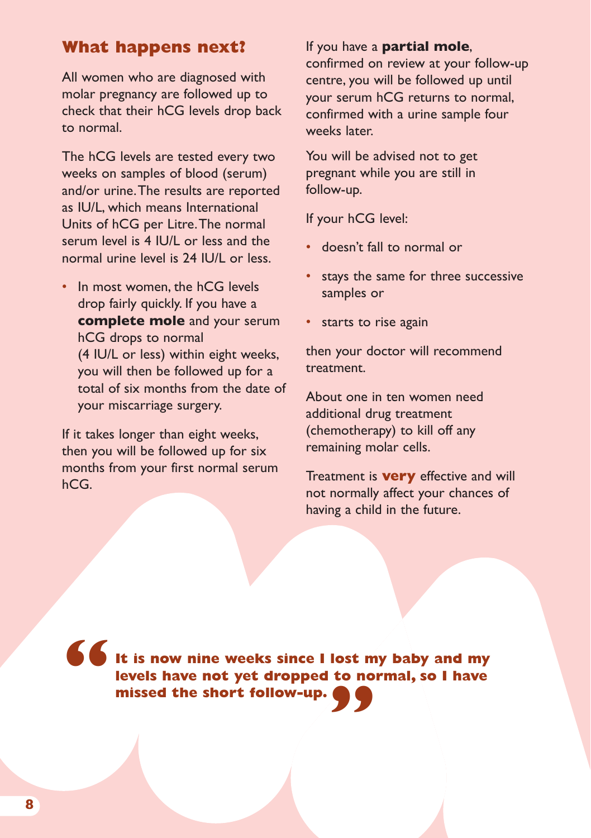## **What happens next?**

All women who are diagnosed with molar pregnancy are followed up to check that their hCG levels drop back to normal.

The hCG levels are tested every two weeks on samples of blood (serum) and/or urine. The results are reported as IU/L, which means International Units of hCG per Litre. The normal serum level is 4 IU/L or less and the normal urine level is 24 IU/L or less.

• In most women, the hCG levels drop fairly quickly. If you have a **complete mole** and your serum hCG drops to normal (4 IU/L or less) within eight weeks, you will then be followed up for a total of six months from the date of your miscarriage surgery.

If it takes longer than eight weeks, then you will be followed up for six months from your first normal serum hCG.

#### If you have a **partial mole**,

confirmed on review at your follow-up centre, you will be followed up until your serum hCG returns to normal, confirmed with a urine sample four weeks later.

You will be advised not to get pregnant while you are still in follow-up.

If your hCG level:

- doesn't fall to normal or
- stays the same for three successive samples or
- starts to rise again

then your doctor will recommend treatment.

About one in ten women need additional drug treatment (chemotherapy) to kill off any remaining molar cells.

Treatment is **very** effective and will not normally affect your chances of having a child in the future.

**It is now nine weeks since I lost my baby and my levels have not yet dropped to normal, so I have missed the short follow-up. " "**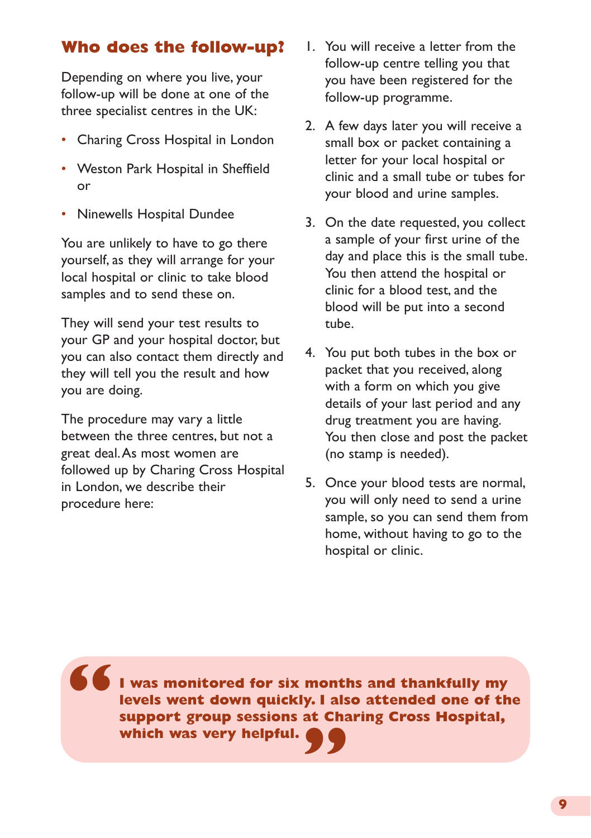## **Who does the follow-up?**

Depending on where you live, your follow-up will be done at one of the three specialist centres in the UK:

- Charing Cross Hospital in London
- Weston Park Hospital in Sheffield or
- Ninewells Hospital Dundee

You are unlikely to have to go there yourself, as they will arrange for your local hospital or clinic to take blood samples and to send these on.

They will send your test results to your GP and your hospital doctor, but you can also contact them directly and they will tell you the result and how you are doing.

The procedure may vary a little between the three centres, but not a great deal. As most women are followed up by Charing Cross Hospital in London, we describe their procedure here:

**"**

- 1. You will receive a letter from the follow-up centre telling you that you have been registered for the follow-up programme.
- 2. A few days later you will receive a small box or packet containing a letter for your local hospital or clinic and a small tube or tubes for your blood and urine samples.
- 3. On the date requested, you collect a sample of your first urine of the day and place this is the small tube. You then attend the hospital or clinic for a blood test, and the blood will be put into a second tube.
- 4. You put both tubes in the box or packet that you received, along with a form on which you give details of your last period and any drug treatment you are having. You then close and post the packet (no stamp is needed).
- 5. Once your blood tests are normal, you will only need to send a urine sample, so you can send them from home, without having to go to the hospital or clinic.

**I was monitored for six months and thankfully my levels went down quickly. I also attended one of the support group sessions at Charing Cross Hospital, which was very helpful. "**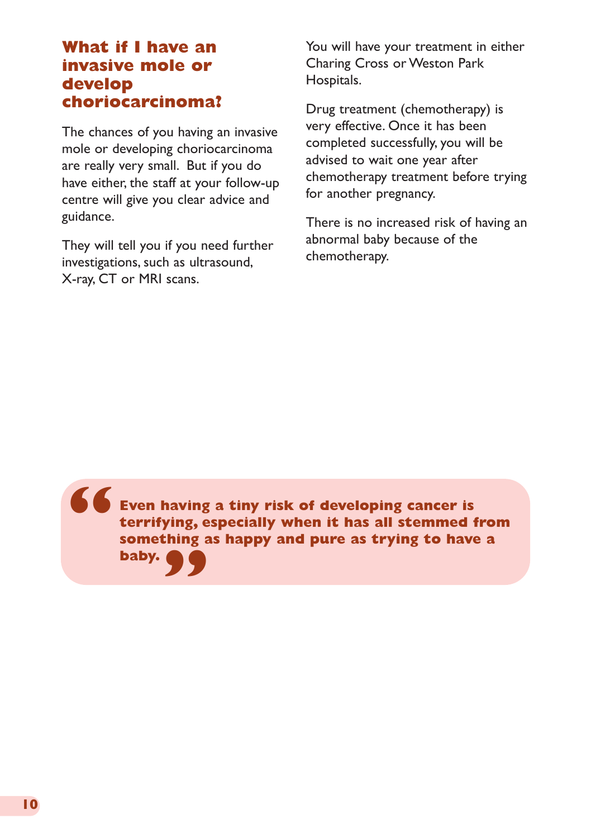## **What if I have an invasive mole or develop choriocarcinoma?**

The chances of you having an invasive mole or developing choriocarcinoma are really very small. But if you do have either, the staff at your follow-up centre will give you clear advice and guidance.

They will tell you if you need further investigations, such as ultrasound, X-ray, CT or MRI scans.

You will have your treatment in either Charing Cross or Weston Park Hospitals.

Drug treatment (chemotherapy) is very effective. Once it has been completed successfully, you will be advised to wait one year after chemotherapy treatment before trying for another pregnancy.

There is no increased risk of having an abnormal baby because of the chemotherapy.

**Even having a tiny risk of developing cancer is terrifying, especially when it has all stemmed from something as happy and pure as trying to have a baby. " "**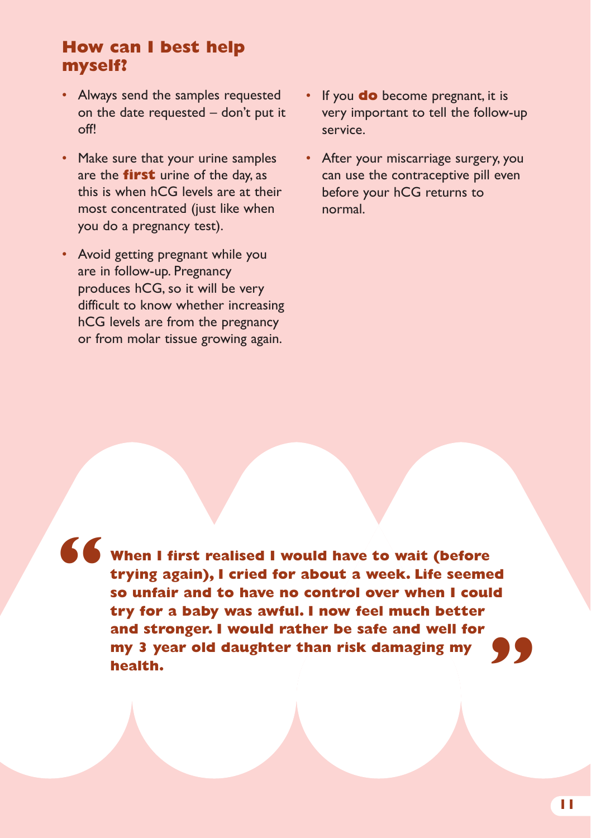## **How can I best help myself?**

- Always send the samples requested on the date requested – don't put it  $\bigcap_{i=1}^{n}$
- Make sure that your urine samples are the **first** urine of the day, as this is when hCG levels are at their most concentrated (just like when you do a pregnancy test).
- Avoid getting pregnant while you are in follow-up. Pregnancy produces hCG, so it will be very difficult to know whether increasing hCG levels are from the pregnancy or from molar tissue growing again.
- If you **do** become pregnant, it is very important to tell the follow-up service.
- After your miscarriage surgery, you can use the contraceptive pill even before your hCG returns to normal.

**"**

**When I first realised I would have to wait (before trying again), I cried for about a week. Life seemed so unfair and to have no control over when I could try for a baby was awful. I now feel much better and stronger. I would rather be safe and well for my 3 year old daughter than risk damaging my health. "**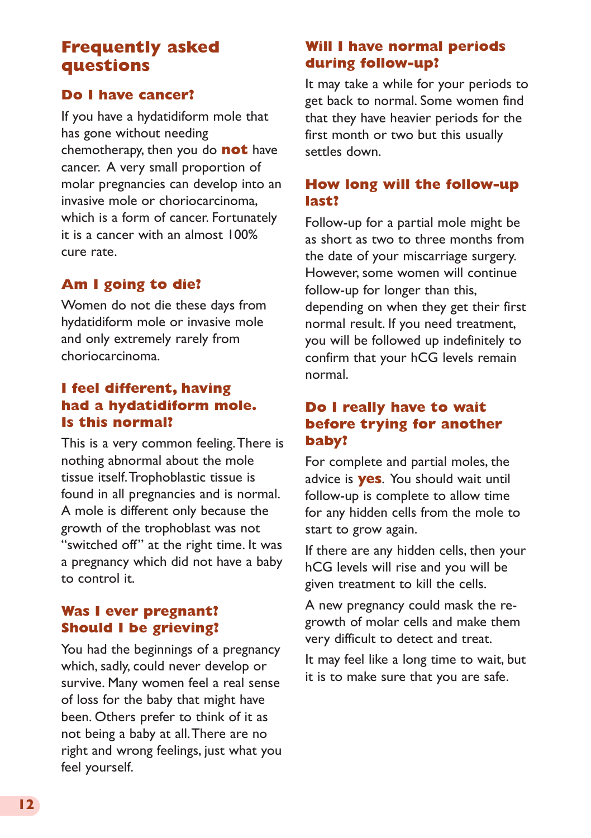## **Frequently asked questions**

#### **Do I have cancer?**

If you have a hydatidiform mole that has gone without needing chemotherapy, then you do **not** have cancer. A very small proportion of molar pregnancies can develop into an invasive mole or choriocarcinoma, which is a form of cancer. Fortunately it is a cancer with an almost 100% cure rate.

#### **Am I going to die?**

Women do not die these days from hydatidiform mole or invasive mole and only extremely rarely from choriocarcinoma.

#### **I feel different, having had a hydatidiform mole. Is this normal?**

This is a very common feeling. There is nothing abnormal about the mole tissue itself. Trophoblastic tissue is found in all pregnancies and is normal. A mole is different only because the growth of the trophoblast was not "switched off" at the right time. It was a pregnancy which did not have a baby to control it.

#### **Was I ever pregnant? Should I be grieving?**

You had the beginnings of a pregnancy which, sadly, could never develop or survive. Many women feel a real sense of loss for the baby that might have been. Others prefer to think of it as not being a baby at all. There are no right and wrong feelings, just what you feel yourself.

#### **Will I have normal periods during follow-up?**

It may take a while for your periods to get back to normal. Some women find that they have heavier periods for the first month or two but this usually settles down.

#### **How long will the follow-up last?**

Follow-up for a partial mole might be as short as two to three months from the date of your miscarriage surgery. However, some women will continue follow-up for longer than this, depending on when they get their first normal result. If you need treatment, you will be followed up indefinitely to confirm that your hCG levels remain normal.

#### **Do I really have to wait before trying for another baby?**

For complete and partial moles, the advice is **yes**. You should wait until follow-up is complete to allow time for any hidden cells from the mole to start to grow again.

If there are any hidden cells, then your hCG levels will rise and you will be given treatment to kill the cells.

A new pregnancy could mask the regrowth of molar cells and make them very difficult to detect and treat.

It may feel like a long time to wait, but it is to make sure that you are safe.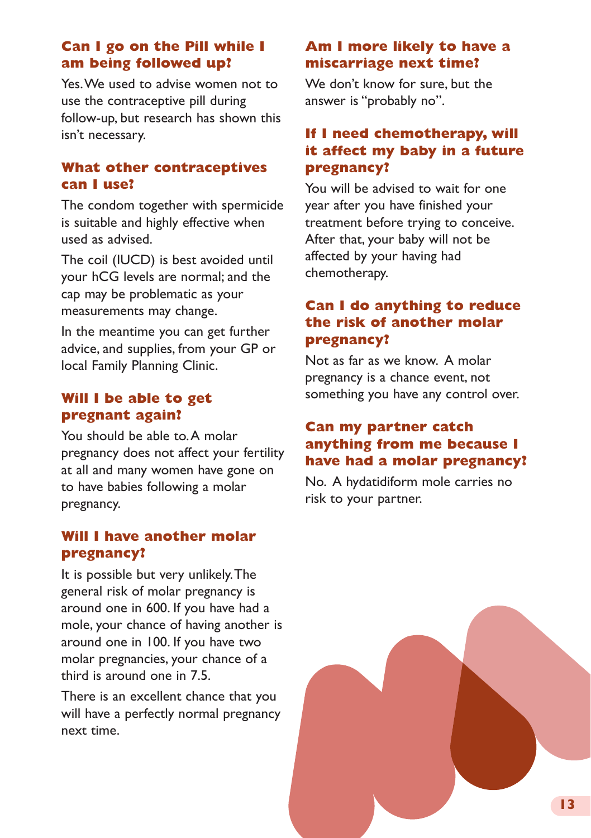#### **Can I go on the Pill while I am being followed up?**

Yes. We used to advise women not to use the contraceptive pill during follow-up, but research has shown this isn't necessary.

#### **What other contraceptives can I use?**

The condom together with spermicide is suitable and highly effective when used as advised.

The coil (IUCD) is best avoided until your hCG levels are normal; and the cap may be problematic as your measurements may change.

In the meantime you can get further advice, and supplies, from your GP or local Family Planning Clinic.

#### **Will I be able to get pregnant again?**

You should be able to. A molar pregnancy does not affect your fertility at all and many women have gone on to have babies following a molar pregnancy.

#### **Will I have another molar pregnancy?**

It is possible but very unlikely. The general risk of molar pregnancy is around one in 600. If you have had a mole, your chance of having another is around one in 100. If you have two molar pregnancies, your chance of a third is around one in 7.5.

There is an excellent chance that you will have a perfectly normal pregnancy next time.

#### **Am I more likely to have a miscarriage next time?**

We don't know for sure, but the answer is "probably no".

#### **If I need chemotherapy, will it affect my baby in a future pregnancy?**

You will be advised to wait for one year after you have finished your treatment before trying to conceive. After that, your baby will not be affected by your having had chemotherapy.

#### **Can I do anything to reduce the risk of another molar pregnancy?**

Not as far as we know. A molar pregnancy is a chance event, not something you have any control over.

#### **Can my partner catch anything from me because I have had a molar pregnancy?**

No. A hydatidiform mole carries no risk to your partner.

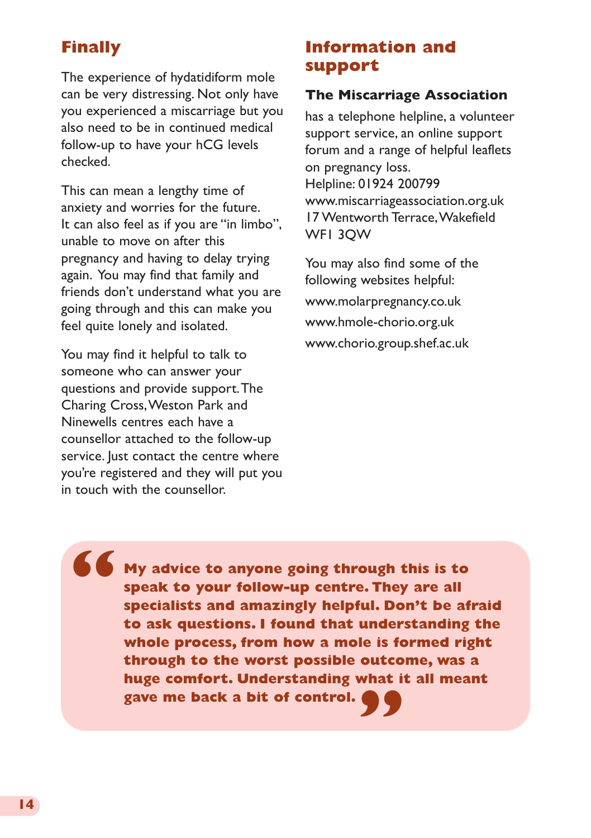## **Finally**

The experience of hydatidiform mole can be very distressing. Not only have you experienced a miscarriage but you also need to be in continued medical follow-up to have your hCG levels checked.

This can mean a lengthy time of anxiety and worries for the future. It can also feel as if you are "in limbo", unable to move on after this pregnancy and having to delay trying again. You may find that family and friends don't understand what you are going through and this can make you feel quite lonely and isolated.

You may find it helpful to talk to someone who can answer your questions and provide support. The Charing Cross, Weston Park and Ninewells centres each have a counsellor attached to the follow-up service. Just contact the centre where you're registered and they will put you in touch with the counsellor.

## **Information and support**

#### **The Miscarriage Association**

has a telephone helpline, a volunteer support service, an online support forum and a range of helpful leaflets on pregnancy loss. Helpline: 01924 200799 [www.miscarriageassociation.org.uk](http://www.miscarriageassociation.org.uk) 17 Wentworth Terrace, Wakefield WF1 3QW

You may also find some of the following websites helpful: [www.molarpregnancy.co.uk](http://www.molarpregnancy.co.uk) [www.hmole-chorio.org.uk](http://www.hmole-chorio.org.uk) [www.chorio.group.shef.ac.uk](http://www.chorio.group.shef.ac.uk)

**My advice to anyone going through this is to speak to your follow-up centre. They are all specialists and amazingly helpful. Don't be afraid to ask questions. I found that understanding the whole process, from how a mole is formed right through to the worst possible outcome, was a huge comfort. Understanding what it all meant gave me back a bit of control. " "**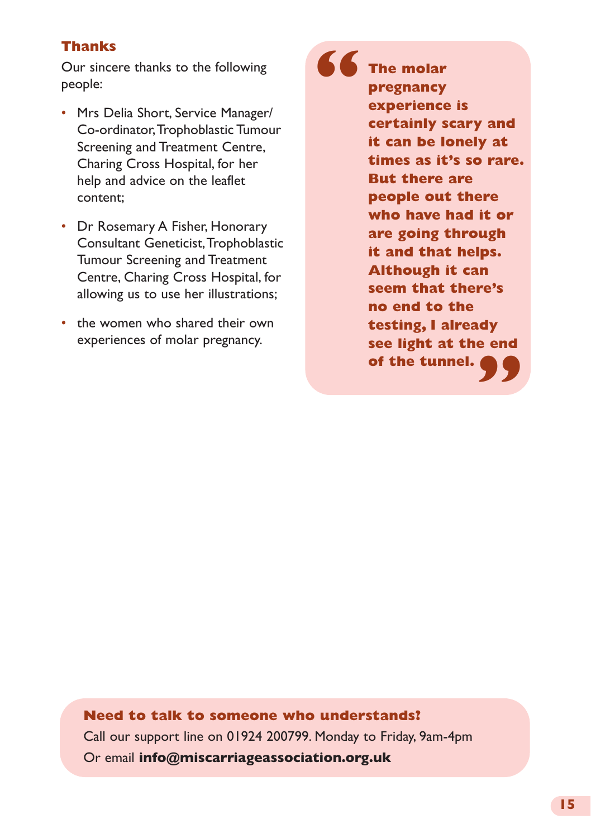#### **Thanks**

Our sincere thanks to the following people:

- Mrs Delia Short, Service Manager/ Co-ordinator, Trophoblastic Tumour Screening and Treatment Centre, Charing Cross Hospital, for her help and advice on the leaflet content;
- Dr Rosemary A Fisher, Honorary Consultant Geneticist, Trophoblastic Tumour Screening and Treatment Centre, Charing Cross Hospital, for allowing us to use her illustrations;
- the women who shared their own experiences of molar pregnancy.

**The molar pregnancy experience is certainly scary and it can be lonely at times as it's so rare. But there are people out there who have had it or are going through it and that helps. Although it can seem that there's no end to the testing, I already see light at the end of the tunnel. " "**

**Need to talk to someone who understands?** Call our support line on 01924 200799. Monday to Friday, 9am-4pm Or email **info@miscarriageassociation.org.uk**